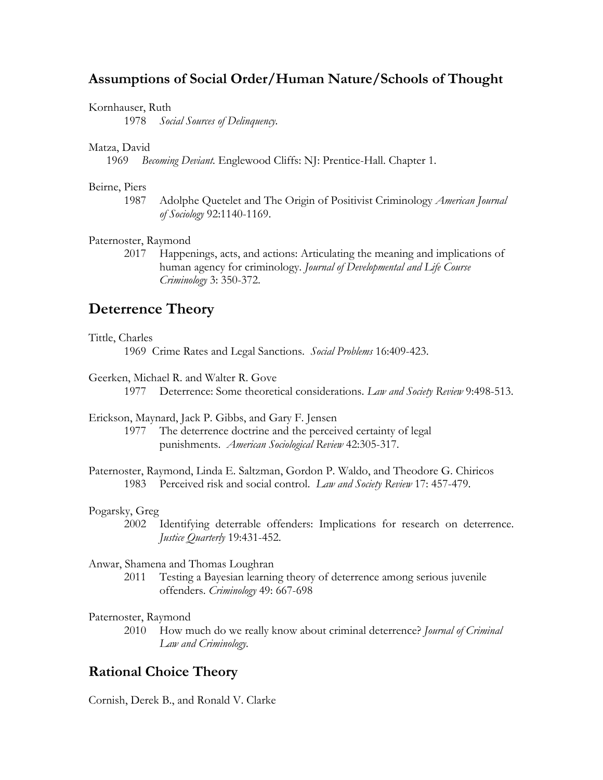# **Assumptions of Social Order/Human Nature/Schools of Thought**

# Kornhauser, Ruth

1978 *Social Sources of Delinquency.* 

# Matza, David

1969 *Becoming Deviant.* Englewood Cliffs: NJ: Prentice-Hall. Chapter 1.

# Beirne, Piers

1987 Adolphe Quetelet and The Origin of Positivist Criminology *American Journal of Sociology* 92:1140-1169.

# Paternoster, Raymond

2017 Happenings, acts, and actions: Articulating the meaning and implications of human agency for criminology. *Journal of Developmental and Life Course Criminology* 3: 350-372.

# **Deterrence Theory**

## Tittle, Charles

1969 Crime Rates and Legal Sanctions. *Social Problems* 16:409-423.

Geerken, Michael R. and Walter R. Gove

1977 Deterrence: Some theoretical considerations. *Law and Society Review* 9:498-513.

Erickson, Maynard, Jack P. Gibbs, and Gary F. Jensen 1977 The deterrence doctrine and the perceived certainty of legal

punishments. *American Sociological Review* 42:305-317.

Paternoster, Raymond, Linda E. Saltzman, Gordon P. Waldo, and Theodore G. Chiricos 1983 Perceived risk and social control. *Law and Society Review* 17: 457-479.

# Pogarsky, Greg

2002 Identifying deterrable offenders: Implications for research on deterrence. *Justice Quarterly* 19:431-452.

# Anwar, Shamena and Thomas Loughran

2011 Testing a Bayesian learning theory of deterrence among serious juvenile offenders. *Criminology* 49: 667-698

Paternoster, Raymond

2010 How much do we really know about criminal deterrence? *Journal of Criminal Law and Criminology.*

# **Rational Choice Theory**

Cornish, Derek B., and Ronald V. Clarke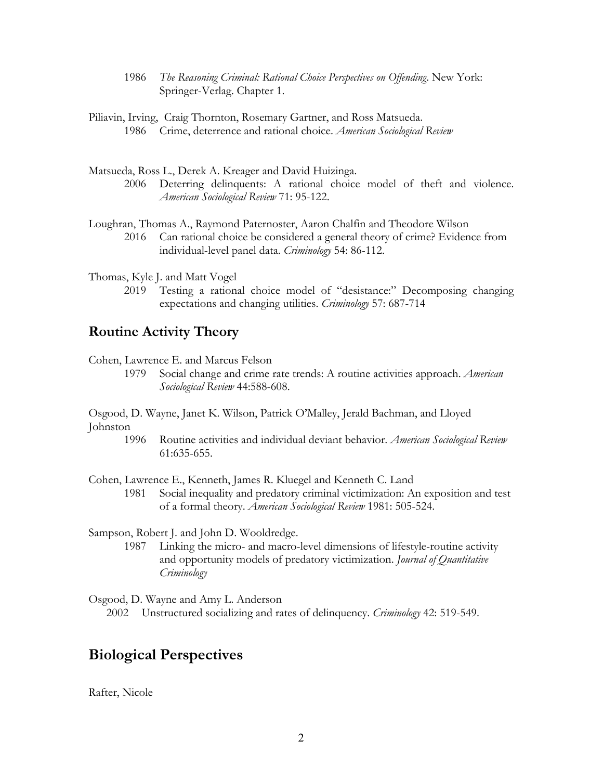- 1986 *The Reasoning Criminal: Rational Choice Perspectives on Offending*. New York: Springer-Verlag. Chapter 1.
- Piliavin, Irving, Craig Thornton, Rosemary Gartner, and Ross Matsueda. 1986 Crime, deterrence and rational choice. *American Sociological Review*
- Matsueda, Ross L., Derek A. Kreager and David Huizinga. 2006 Deterring delinquents: A rational choice model of theft and violence. *American Sociological Review* 71: 95-122.
- Loughran, Thomas A., Raymond Paternoster, Aaron Chalfin and Theodore Wilson 2016 Can rational choice be considered a general theory of crime? Evidence from individual-level panel data. *Criminology* 54: 86-112.

Thomas, Kyle J. and Matt Vogel

2019 Testing a rational choice model of "desistance:" Decomposing changing expectations and changing utilities. *Criminology* 57: 687-714

# **Routine Activity Theory**

Cohen, Lawrence E. and Marcus Felson

1979 Social change and crime rate trends: A routine activities approach. *American Sociological Review* 44:588-608.

Osgood, D. Wayne, Janet K. Wilson, Patrick O'Malley, Jerald Bachman, and Lloyed Johnston

1996 Routine activities and individual deviant behavior. *American Sociological Review* 61:635-655.

Cohen, Lawrence E., Kenneth, James R. Kluegel and Kenneth C. Land

1981 Social inequality and predatory criminal victimization: An exposition and test of a formal theory. *American Sociological Review* 1981: 505-524.

Sampson, Robert J. and John D. Wooldredge.

1987 Linking the micro- and macro-level dimensions of lifestyle-routine activity and opportunity models of predatory victimization. *Journal of Quantitative Criminology*

Osgood, D. Wayne and Amy L. Anderson 2002 Unstructured socializing and rates of delinquency. *Criminology* 42: 519-549.

# **Biological Perspectives**

Rafter, Nicole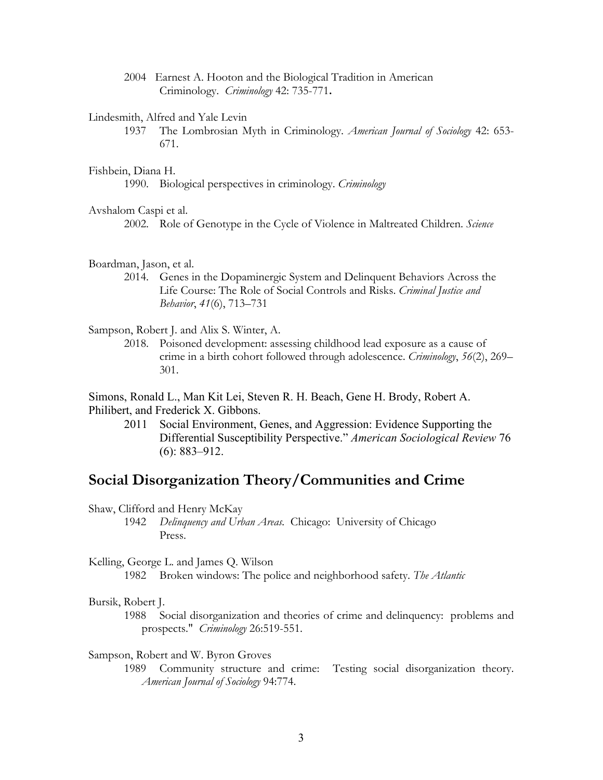2004 Earnest A. Hooton and the Biological Tradition in American Criminology.*Criminology* 42: 735-771**.**

#### Lindesmith, Alfred and Yale Levin

1937 The Lombrosian Myth in Criminology. *American Journal of Sociology* 42: 653- 671.

#### Fishbein, Diana H.

1990. Biological perspectives in criminology. *Criminology* 

### Avshalom Caspi et al.

2002. Role of Genotype in the Cycle of Violence in Maltreated Children. *Science* 

#### Boardman, Jason, et al.

2014. Genes in the Dopaminergic System and Delinquent Behaviors Across the Life Course: The Role of Social Controls and Risks. *Criminal Justice and Behavior*, *41*(6), 713–731

Sampson, Robert J. and Alix S. Winter, A.

2018. Poisoned development: assessing childhood lead exposure as a cause of crime in a birth cohort followed through adolescence. *Criminology*, *56*(2), 269– 301.

Simons, Ronald L., Man Kit Lei, Steven R. H. Beach, Gene H. Brody, Robert A. Philibert, and Frederick X. Gibbons.

2011 Social Environment, Genes, and Aggression: Evidence Supporting the Differential Susceptibility Perspective." *American Sociological Review* 76 (6): 883–912.

# **Social Disorganization Theory/Communities and Crime**

Shaw, Clifford and Henry McKay

1942 *Delinquency and Urban Areas.* Chicago: University of Chicago Press.

Kelling, George L. and James Q. Wilson

1982 Broken windows: The police and neighborhood safety. *The Atlantic*

## Bursik, Robert J.

1988 Social disorganization and theories of crime and delinquency: problems and prospects." *Criminology* 26:519-551.

### Sampson, Robert and W. Byron Groves

1989 Community structure and crime: Testing social disorganization theory. *American Journal of Sociology* 94:774.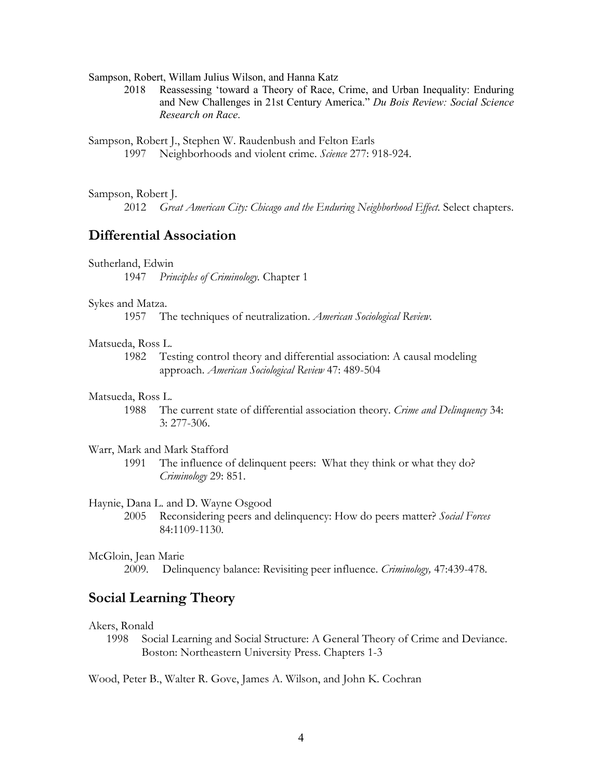Sampson, Robert, Willam Julius Wilson, and Hanna Katz

2018 Reassessing 'toward a Theory of Race, Crime, and Urban Inequality: Enduring and New Challenges in 21st Century America." *Du Bois Review: Social Science Research on Race*.

Sampson, Robert J., Stephen W. Raudenbush and Felton Earls 1997 Neighborhoods and violent crime. *Science* 277: 918-924.

## Sampson, Robert J.

2012 *Great American City: Chicago and the Enduring Neighborhood Effect.* Select chapters.

# **Differential Association**

# Sutherland, Edwin

1947 *Principles of Criminology.* Chapter 1

### Sykes and Matza.

1957 The techniques of neutralization. *American Sociological Review.*

## Matsueda, Ross L.

1982 Testing control theory and differential association: A causal modeling approach. *American Sociological Review* 47: 489-504

### Matsueda, Ross L.

1988 The current state of differential association theory. *Crime and Delinquency* 34: 3: 277-306.

# Warr, Mark and Mark Stafford

1991 The influence of delinquent peers: What they think or what they do? *Criminology* 29: 851.

# Haynie, Dana L. and D. Wayne Osgood

2005 Reconsidering peers and delinquency: How do peers matter? *Social Forces*  84:1109-1130.

### McGloin, Jean Marie

2009*.* Delinquency balance: Revisiting peer influence. *Criminology,* 47:439-478.

# **Social Learning Theory**

#### Akers, Ronald

1998 Social Learning and Social Structure: A General Theory of Crime and Deviance. Boston: Northeastern University Press. Chapters 1-3

Wood, Peter B., Walter R. Gove, James A. Wilson, and John K. Cochran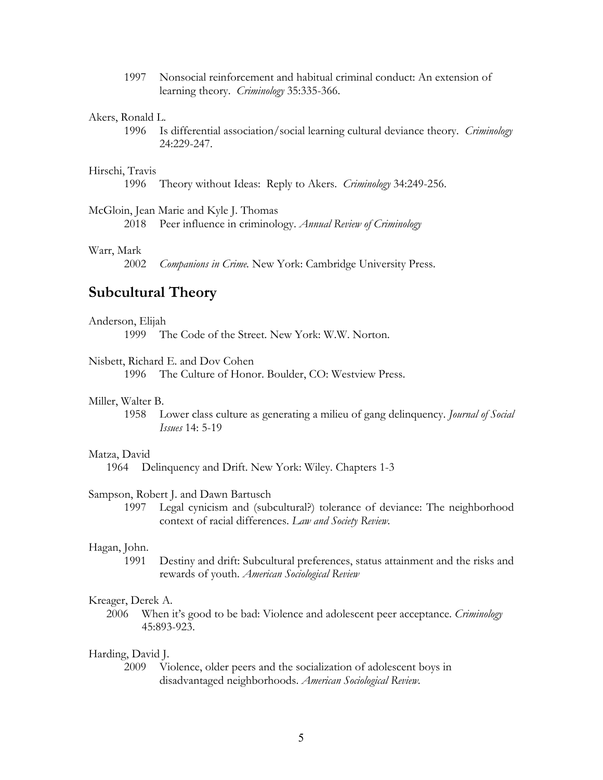1997 Nonsocial reinforcement and habitual criminal conduct: An extension of learning theory. *Criminology* 35:335-366.

## Akers, Ronald L.

1996 Is differential association/social learning cultural deviance theory. *Criminology* 24:229-247.

# Hirschi, Travis

1996 Theory without Ideas: Reply to Akers. *Criminology* 34:249-256.

### McGloin, Jean Marie and Kyle J. Thomas

2018 Peer influence in criminology. *Annual Review of Criminology*

# Warr, Mark

2002 *Companions in Crime.* New York: Cambridge University Press.

# **Subcultural Theory**

### Anderson, Elijah

1999 The Code of the Street. New York: W.W. Norton.

# Nisbett, Richard E. and Dov Cohen

1996 The Culture of Honor. Boulder, CO: Westview Press.

## Miller, Walter B.

1958 Lower class culture as generating a milieu of gang delinquency. *Journal of Social Issues* 14: 5-19

#### Matza, David

1964 Delinquency and Drift. New York: Wiley. Chapters 1-3

### Sampson, Robert J. and Dawn Bartusch

1997 Legal cynicism and (subcultural?) tolerance of deviance: The neighborhood context of racial differences. *Law and Society Review.*

## Hagan, John.

1991 Destiny and drift: Subcultural preferences, status attainment and the risks and rewards of youth. *American Sociological Review*

# Kreager, Derek A.

2006 When it's good to be bad: Violence and adolescent peer acceptance. *Criminology*  45:893-923.

# Harding, David J.

2009 Violence, older peers and the socialization of adolescent boys in disadvantaged neighborhoods. *American Sociological Review.*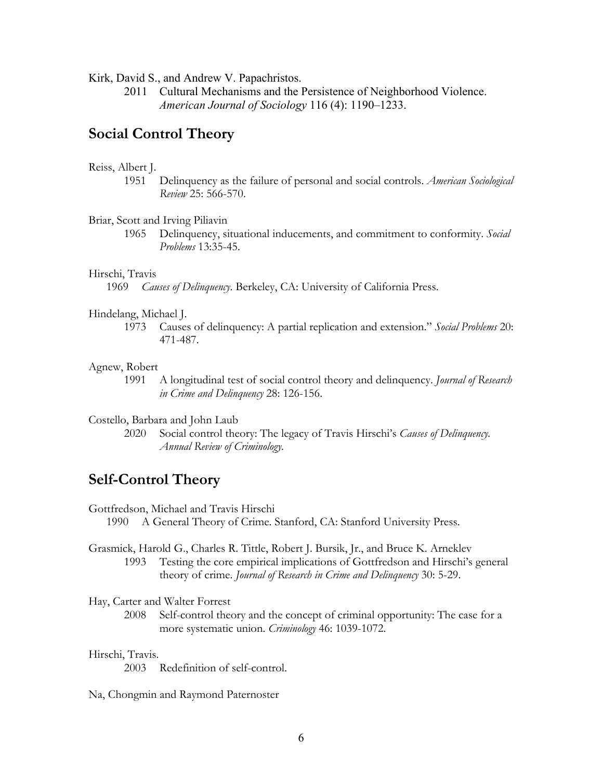Kirk, David S., and Andrew V. Papachristos.

2011 Cultural Mechanisms and the Persistence of Neighborhood Violence. *American Journal of Sociology* 116 (4): 1190–1233.

# **Social Control Theory**

# Reiss, Albert J.

1951 Delinquency as the failure of personal and social controls. *American Sociological Review* 25: 566-570.

#### Briar, Scott and Irving Piliavin

1965 Delinquency, situational inducements, and commitment to conformity. *Social Problems* 13:35-45.

#### Hirschi, Travis

1969 *Causes of Delinquency*. Berkeley, CA: University of California Press.

## Hindelang, Michael J.

1973 Causes of delinquency: A partial replication and extension." *Social Problems* 20: 471-487.

#### Agnew, Robert

1991 A longitudinal test of social control theory and delinquency. *Journal of Research in Crime and Delinquency* 28: 126-156.

# Costello, Barbara and John Laub

2020 Social control theory: The legacy of Travis Hirschi's *Causes of Delinquency. Annual Review of Criminology.*

# **Self-Control Theory**

Gottfredson, Michael and Travis Hirschi

- 1990 A General Theory of Crime. Stanford, CA: Stanford University Press.
- Grasmick, Harold G., Charles R. Tittle, Robert J. Bursik, Jr., and Bruce K. Arneklev 1993 Testing the core empirical implications of Gottfredson and Hirschi's general theory of crime. *Journal of Research in Crime and Delinquency* 30: 5-29.

Hay, Carter and Walter Forrest

2008 Self-control theory and the concept of criminal opportunity: The case for a more systematic union. *Criminology* 46: 1039-1072.

# Hirschi, Travis.

2003 Redefinition of self-control.

Na, Chongmin and Raymond Paternoster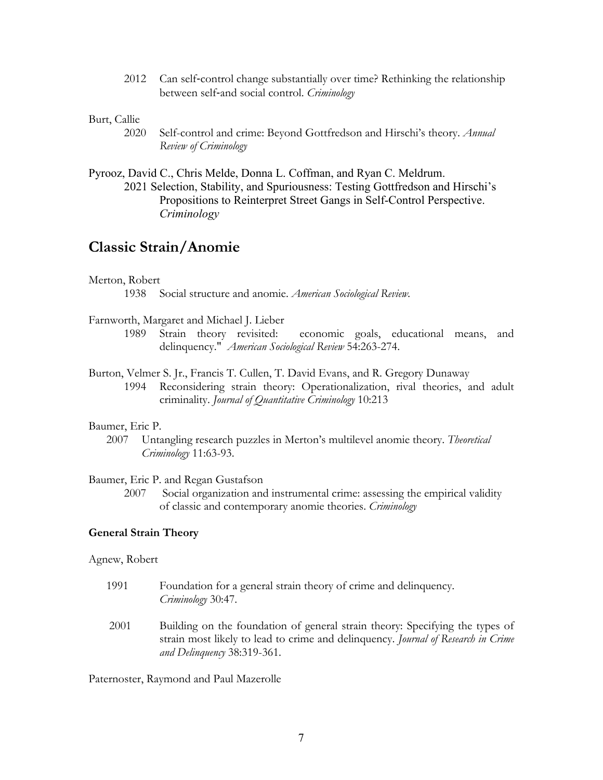2012 Can self-control change substantially over time? Rethinking the relationship between self-and social control. *Criminology*

# Burt, Callie

- 2020 Self-control and crime: Beyond Gottfredson and Hirschi's theory. *Annual Review of Criminology*
- Pyrooz, David C., Chris Melde, Donna L. Coffman, and Ryan C. Meldrum. 2021 Selection, Stability, and Spuriousness: Testing Gottfredson and Hirschi's Propositions to Reinterpret Street Gangs in Self-Control Perspective. *Criminology*

# **Classic Strain/Anomie**

# Merton, Robert

1938 Social structure and anomie. *American Sociological Review.* 

# Farnworth, Margaret and Michael J. Lieber

- 1989 Strain theory revisited: economic goals, educational means, and delinquency." *American Sociological Review* 54:263-274.
- Burton, Velmer S. Jr., Francis T. Cullen, T. David Evans, and R. Gregory Dunaway 1994 Reconsidering strain theory: Operationalization, rival theories, and adult criminality. *Journal of Quantitative Criminology* 10:213

# Baumer, Eric P.

2007 Untangling research puzzles in Merton's multilevel anomie theory. *Theoretical Criminology* 11:63-93.

## Baumer, Eric P. and Regan Gustafson

2007 Social organization and instrumental crime: assessing the empirical validity of classic and contemporary anomie theories. *Criminology*

# **General Strain Theory**

## Agnew, Robert

- 1991 Foundation for a general strain theory of crime and delinquency. *Criminology* 30:47.
- 2001 Building on the foundation of general strain theory: Specifying the types of strain most likely to lead to crime and delinquency. *Journal of Research in Crime and Delinquency* 38:319-361.

Paternoster, Raymond and Paul Mazerolle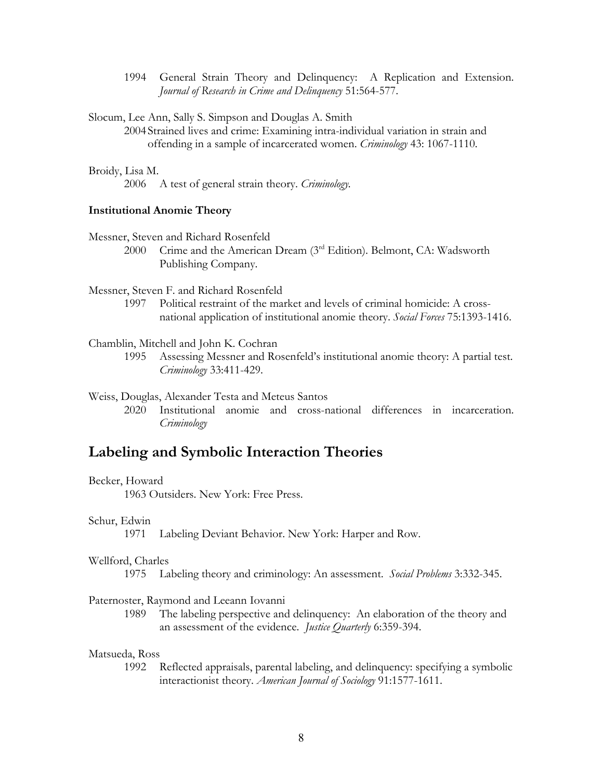1994 General Strain Theory and Delinquency: A Replication and Extension. *Journal of Research in Crime and Delinquency* 51:564-577.

Slocum, Lee Ann, Sally S. Simpson and Douglas A. Smith

2004 Strained lives and crime: Examining intra-individual variation in strain and offending in a sample of incarcerated women. *Criminology* 43: 1067-1110.

Broidy, Lisa M.

2006 A test of general strain theory. *Criminology.*

# **Institutional Anomie Theory**

Messner, Steven and Richard Rosenfeld

2000 Crime and the American Dream (3rd Edition). Belmont, CA: Wadsworth Publishing Company.

Messner, Steven F. and Richard Rosenfeld

1997 Political restraint of the market and levels of criminal homicide: A crossnational application of institutional anomie theory. *Social Forces* 75:1393-1416.

Chamblin, Mitchell and John K. Cochran

1995 Assessing Messner and Rosenfeld's institutional anomie theory: A partial test. *Criminology* 33:411-429.

#### Weiss, Douglas, Alexander Testa and Meteus Santos

2020 Institutional anomie and cross-national differences in incarceration. *Criminology*

# **Labeling and Symbolic Interaction Theories**

## Becker, Howard

1963 Outsiders. New York: Free Press.

# Schur, Edwin

1971 Labeling Deviant Behavior. New York: Harper and Row.

#### Wellford, Charles

1975 Labeling theory and criminology: An assessment. *Social Problems* 3:332-345.

### Paternoster, Raymond and Leeann Iovanni

1989 The labeling perspective and delinquency: An elaboration of the theory and an assessment of the evidence. *Justice Quarterly* 6:359-394.

# Matsueda, Ross

1992 Reflected appraisals, parental labeling, and delinquency: specifying a symbolic interactionist theory. *American Journal of Sociology* 91:1577-1611.